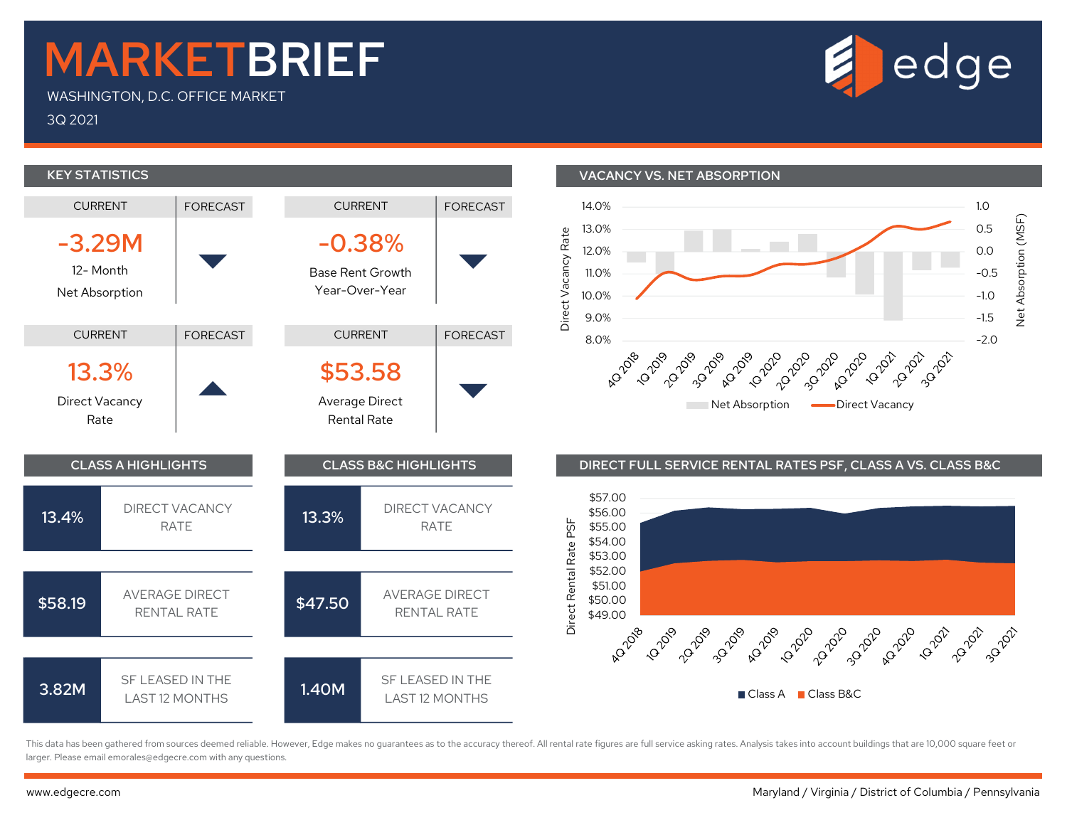## MARKETBRIEF

WASHINGTON, D.C. OFFICE MARKET

3Q 2021



This data has been gathered from sources deemed reliable. However, Edge makes no guarantees as to the accuracy thereof. All rental rate figures are full service asking rates. Analysis takes into account buildings that are larger. Please email emorales@edgecre.com with any questions.